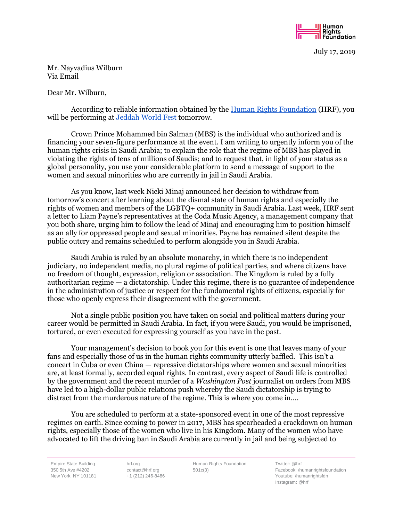

July 17, 2019

Mr. Nayvadius Wilburn Via Email

## Dear Mr. Wilburn,

According to reliable information obtained by the [Human Rights Foundation](https://hrf.org/) (HRF), you will be performing at [Jeddah World Fest](https://www.jeddahworldfest.com/) tomorrow.

Crown Prince Mohammed bin Salman (MBS) is the individual who authorized and is financing your seven-figure performance at the event. I am writing to urgently inform you of the human rights crisis in Saudi Arabia; to explain the role that the regime of MBS has played in violating the rights of tens of millions of Saudis; and to request that, in light of your status as a global personality, you use your considerable platform to send a message of support to the women and sexual minorities who are currently in jail in Saudi Arabia.

As you know, last week Nicki Minaj announced her decision to withdraw from tomorrow's concert after learning about the dismal state of human rights and especially the rights of women and members of the LGBTQ+ community in Saudi Arabia. Last week, HRF sent a letter to Liam Payne's representatives at the Coda Music Agency, a management company that you both share, urging him to follow the lead of Minaj and encouraging him to position himself as an ally for oppressed people and sexual minorities. Payne has remained silent despite the public outcry and remains scheduled to perform alongside you in Saudi Arabia.

Saudi Arabia is ruled by an absolute monarchy, in which there is no independent judiciary, no independent media, no plural regime of political parties, and where citizens have no freedom of thought, expression, religion or association. The Kingdom is ruled by a fully authoritarian regime — a dictatorship. Under this regime, there is no guarantee of independence in the administration of justice or respect for the fundamental rights of citizens, especially for those who openly express their disagreement with the government.

Not a single public position you have taken on social and political matters during your career would be permitted in Saudi Arabia. In fact, if you were Saudi, you would be imprisoned, tortured, or even executed for expressing yourself as you have in the past.

Your management's decision to book you for this event is one that leaves many of your fans and especially those of us in the human rights community utterly baffled. This isn't a concert in Cuba or even China — repressive dictatorships where women and sexual minorities are, at least formally, accorded equal rights. In contrast, every aspect of Saudi life is controlled by the government and the recent murder of a *Washington Post* journalist on orders from MBS have led to a high-dollar public relations push whereby the Saudi dictatorship is trying to distract from the murderous nature of the regime. This is where you come in….

You are scheduled to perform at a state-sponsored event in one of the most repressive regimes on earth. Since coming to power in 2017, MBS has spearheaded a crackdown on human rights, especially those of the women who live in his Kingdom. Many of the women who have advocated to lift the driving ban in Saudi Arabia are currently in jail and being subjected to

Empire State Building 350 5th Ave #4202 New York, NY 101181

hrf.org contact@hrf.org +1 (212) 246-8486 Human Rights Foundation 501c(3)

Twitter: @hrf Facebook: /humanrightsfoundation Youtube: /humanrightsfdn Instagram: @hrf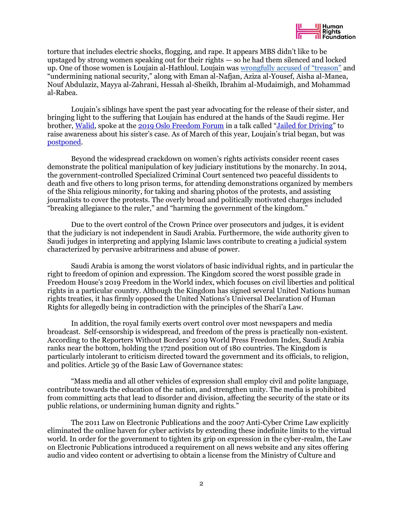torture that includes electric shocks, flogging, and rape. It appears MBS didn't like to be upstaged by strong women speaking out for their rights — so he had them silenced and locked up. One of those women is Loujain al-Hathloul. Loujain was [wrongfully accused of "treason"](https://mailchi.mp/d92f77ae0bae/saudi-arabia-cracks-down-on-activists-before-ending-the-driving-ban?e=d6a27fd2e5) and "undermining national security," along with Eman al-Nafjan, Aziza al-Yousef, Aisha al-Manea, Nouf Abdulaziz, Mayya al-Zahrani, Hessah al-Sheikh, Ibrahim al-Mudaimigh, and Mohammad al-Rabea.

Loujain's siblings have spent the past year advocating for the release of their sister, and bringing light to the suffering that Loujain has endured at the hands of the Saudi regime. Her brother, [Walid,](https://oslofreedomforum.com/speakers/walid-al-hathloul) spoke at the [2019 Oslo Freedom Forum](https://hrf.org/events_talks/jailed-for-driving/) in a talk called "[Jailed for Driving](https://www.youtube.com/watch?v=1EZco1VGI4k)" to raise awareness about his sister's case. As of March of this year, Loujain's trial began, but was [postponed.](https://www.nytimes.com/2019/06/24/world/middleeast/saudi-driving-ban-anniversary.html)

Beyond the widespread crackdown on women's rights activists consider recent cases demonstrate the political manipulation of key judiciary institutions by the monarchy. In 2014, the government-controlled Specialized Criminal Court sentenced two peaceful dissidents to death and five others to long prison terms, for attending demonstrations organized by members of the Shia religious minority, for taking and sharing photos of the protests, and assisting journalists to cover the protests. The overly broad and politically motivated charges included "breaking allegiance to the ruler," and "harming the government of the kingdom."

Due to the overt control of the Crown Prince over prosecutors and judges, it is evident that the judiciary is not independent in Saudi Arabia. Furthermore, the wide authority given to Saudi judges in interpreting and applying Islamic laws contribute to creating a judicial system characterized by pervasive arbitrariness and abuse of power.

Saudi Arabia is among the worst violators of basic individual rights, and in particular the right to freedom of opinion and expression. The Kingdom scored the worst possible grade in Freedom House's 2019 Freedom in the World index, which focuses on civil liberties and political rights in a particular country. Although the Kingdom has signed several United Nations human rights treaties, it has firmly opposed the United Nations's Universal Declaration of Human Rights for allegedly being in contradiction with the principles of the Shari'a Law.

In addition, the royal family exerts overt control over most newspapers and media broadcast. Self-censorship is widespread, and freedom of the press is practically non-existent. According to the Reporters Without Borders' 2019 World Press Freedom Index, Saudi Arabia ranks near the bottom, holding the 172nd position out of 180 countries. The Kingdom is particularly intolerant to criticism directed toward the government and its officials, to religion, and politics. Article 39 of the Basic Law of Governance states:

"Mass media and all other vehicles of expression shall employ civil and polite language, contribute towards the education of the nation, and strengthen unity. The media is prohibited from committing acts that lead to disorder and division, affecting the security of the state or its public relations, or undermining human dignity and rights."

The 2011 Law on Electronic Publications and the 2007 Anti-Cyber Crime Law explicitly eliminated the online haven for cyber activists by extending these indefinite limits to the virtual world. In order for the government to tighten its grip on expression in the cyber-realm, the Law on Electronic Publications introduced a requirement on all news website and any sites offering audio and video content or advertising to obtain a license from the Ministry of Culture and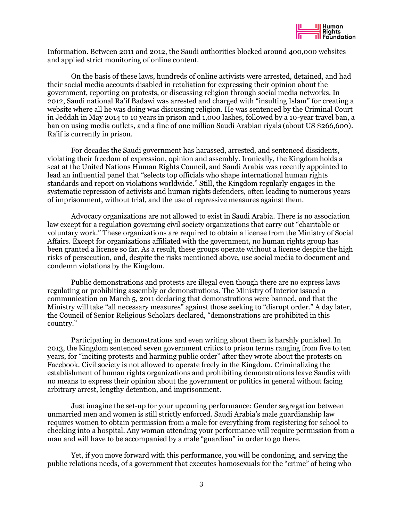

Information. Between 2011 and 2012, the Saudi authorities blocked around 400,000 websites and applied strict monitoring of online content.

On the basis of these laws, hundreds of online activists were arrested, detained, and had their social media accounts disabled in retaliation for expressing their opinion about the government, reporting on protests, or discussing religion through social media networks. In 2012, Saudi national Ra'if Badawi was arrested and charged with "insulting Islam" for creating a website where all he was doing was discussing religion. He was sentenced by the Criminal Court in Jeddah in May 2014 to 10 years in prison and 1,000 lashes, followed by a 10-year travel ban, a ban on using media outlets, and a fine of one million Saudi Arabian riyals (about US \$266,600). Ra'if is currently in prison.

For decades the Saudi government has harassed, arrested, and sentenced dissidents, violating their freedom of expression, opinion and assembly. Ironically, the Kingdom holds a seat at the United Nations Human Rights Council, and Saudi Arabia was recently appointed to lead an influential panel that "selects top officials who shape international human rights standards and report on violations worldwide." Still, the Kingdom regularly engages in the systematic repression of activists and human rights defenders, often leading to numerous years of imprisonment, without trial, and the use of repressive measures against them.

Advocacy organizations are not allowed to exist in Saudi Arabia. There is no association law except for a regulation governing civil society organizations that carry out "charitable or voluntary work." These organizations are required to obtain a license from the Ministry of Social Affairs. Except for organizations affiliated with the government, no human rights group has been granted a license so far. As a result, these groups operate without a license despite the high risks of persecution, and, despite the risks mentioned above, use social media to document and condemn violations by the Kingdom.

Public demonstrations and protests are illegal even though there are no express laws regulating or prohibiting assembly or demonstrations. The Ministry of Interior issued a communication on March 5, 2011 declaring that demonstrations were banned, and that the Ministry will take "all necessary measures" against those seeking to "disrupt order." A day later, the Council of Senior Religious Scholars declared, "demonstrations are prohibited in this country."

Participating in demonstrations and even writing about them is harshly punished. In 2013, the Kingdom sentenced seven government critics to prison terms ranging from five to ten years, for "inciting protests and harming public order" after they wrote about the protests on Facebook. Civil society is not allowed to operate freely in the Kingdom. Criminalizing the establishment of human rights organizations and prohibiting demonstrations leave Saudis with no means to express their opinion about the government or politics in general without facing arbitrary arrest, lengthy detention, and imprisonment.

Just imagine the set-up for your upcoming performance: Gender segregation between unmarried men and women is still strictly enforced. Saudi Arabia's male guardianship law requires women to obtain permission from a male for everything from registering for school to checking into a hospital. Any woman attending your performance will require permission from a man and will have to be accompanied by a male "guardian" in order to go there.

Yet, if you move forward with this performance, you will be condoning, and serving the public relations needs, of a government that executes homosexuals for the "crime" of being who